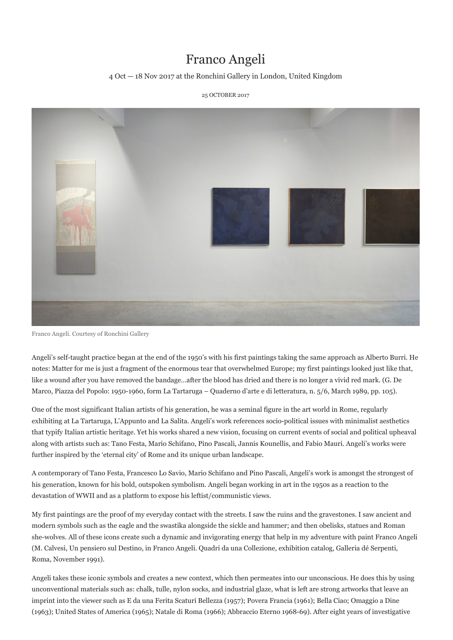## Franco Angeli

## 4 Oct — 18 Nov 2017 at the Ronchini Gallery in London, United Kingdom

25 OCTOBER 2017



Franco Angeli. Courtesy of Ronchini Gallery

Angeli's self-taught practice began at the end of the 1950's with his first paintings taking the same approach as Alberto Burri. He notes: Matter for me is just a fragment of the enormous tear that overwhelmed Europe; my first paintings looked just like that, like a wound after you have removed the bandage…after the blood has dried and there is no longer a vivid red mark. (G. De Marco, Piazza del Popolo: 1950-1960, form La Tartaruga – Quaderno d'arte e di letteratura, n. 5/6, March 1989, pp. 105).

One of the most significant Italian artists of his generation, he was a seminal figure in the art world in Rome, regularly exhibiting at La Tartaruga, L'Appunto and La Salita. Angeli's work references socio-political issues with minimalist aesthetics that typify Italian artistic heritage. Yet his works shared a new vision, focusing on current events of social and political upheaval along with artists such as: Tano Festa, Mario Schifano, Pino Pascali, Jannis Kounellis, and Fabio Mauri. Angeli's works were further inspired by the 'eternal city' of Rome and its unique urban landscape.

A contemporary of Tano Festa, Francesco Lo Savio, Mario Schifano and Pino Pascali, Angeli's work is amongst the strongest of his generation, known for his bold, outspoken symbolism. Angeli began working in art in the 1950s as a reaction to the devastation of WWII and as a platform to expose his leftist/communistic views.

My first paintings are the proof of my everyday contact with the streets. I saw the ruins and the gravestones. I saw ancient and modern symbols such as the eagle and the swastika alongside the sickle and hammer; and then obelisks, statues and Roman she-wolves. All of these icons create such a dynamic and invigorating energy that help in my adventure with paint Franco Angeli (M. Calvesi, Un pensiero sul Destino, in Franco Angeli. Quadri da una Collezione, exhibition catalog, Galleria dé Serpenti, Roma, November 1991).

Angeli takes these iconic symbols and creates a new context, which then permeates into our unconscious. He does this by using unconventional materials such as: chalk, tulle, nylon socks, and industrial glaze, what is left are strong artworks that leave an imprint into the viewer such as E da una Ferita Scaturí Bellezza (1957); Povera Francia (1961); Bella Ciao; Omaggio a Dine (1963); United States of America (1965); Natale di Roma (1966); Abbraccio Eterno 1968-69). After eight years of investigative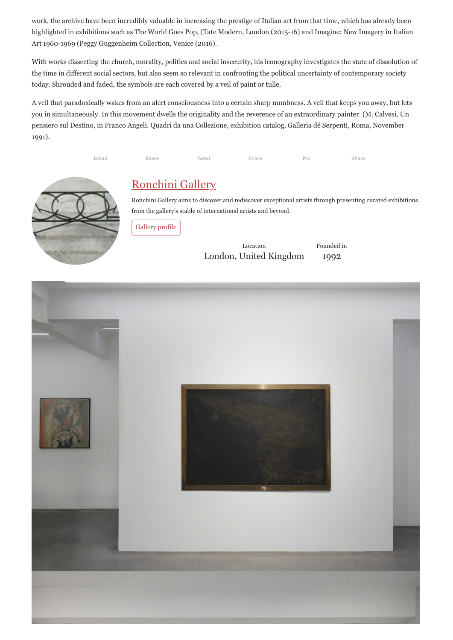work, the archive have been incredibly valuable in increasing the prestige of Italian art from that time, which has already been highlighted in exhibitions such as The World Goes Pop, (Tate Modern, London (2015-16) and Imagine: New Imagery in Italian Art 1960-1969 (Peggy Guggenheim Collection, Venice (2016).

With works dissecting the church, morality, politics and social insecurity, his iconography investigates the state of dissolution of the time in different social sectors, but also seem so relevant in confronting the political uncertainty of contemporary society today. Shrouded and faded, the symbols are each covered by a veil of paint or tulle.

A veil that paradoxically wakes from an alert consciousness into a certain sharp numbness. A veil that keeps you away, but lets you in simultaneously. In this movement dwells the originality and the reverence of an extraordinary painter. (M. Calvesi, Un pensiero sul Destino, in Franco Angeli. Quadri da una Collezione, exhibition catalog, Galleria dé Serpenti, Roma, November 1991).

Email Share Tweet Share Pin Share



## Ronchini Gallery

Ronchini Gallery aims to discover and rediscover exceptional artists through presenting curated exhibitions from the gallery's stable of international artists and beyond.

Gallery profile

Location London, United Kingdom Founded in 1992